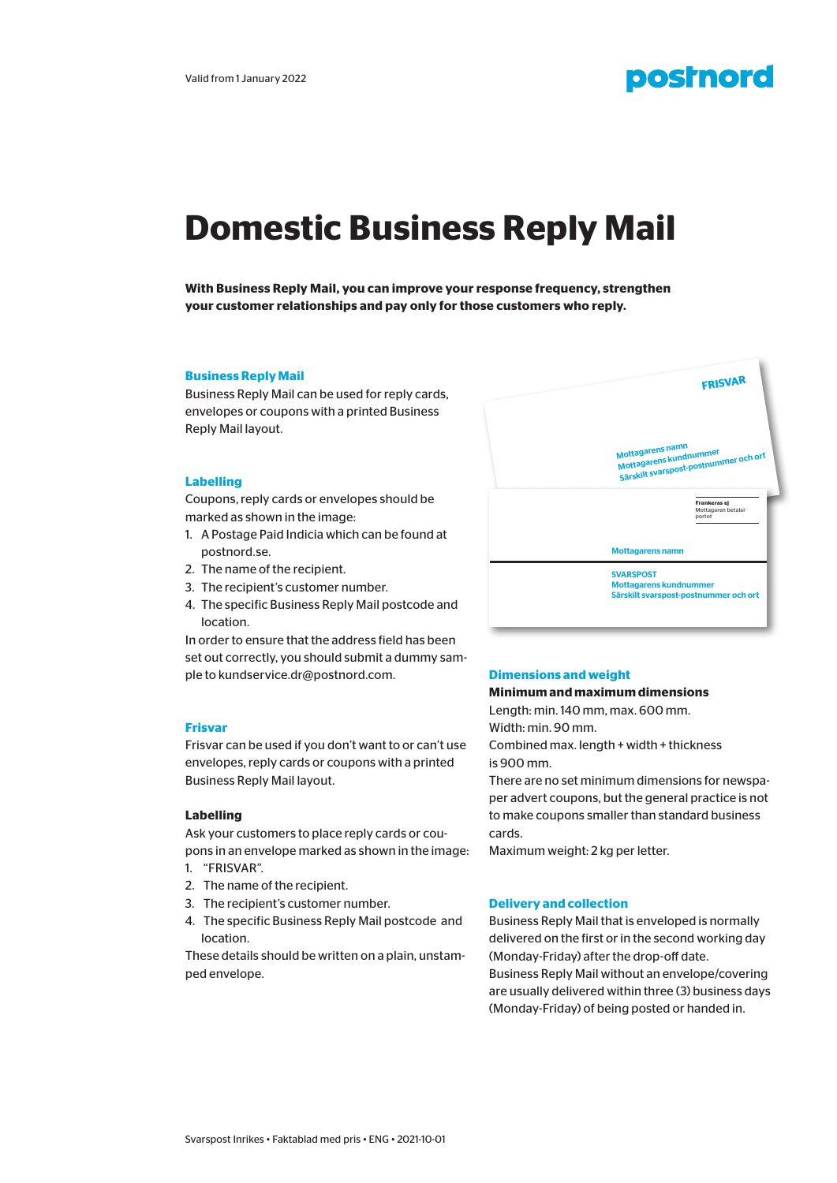

# **Domestic Business Reply Mail**

**With Business Reply Mail, you can improve your response frequency, strengthen your customer relationships and pay only for those customers who reply.** 

#### **Business Reply Mail**

Business Reply Mail can be used for reply cards, envelopes or coupons with a printed Business Reply Mail layout.

#### **Labelling**

Coupons, reply cards or envelopes should be marked as shown in the image:

- 1. A Postage Paid Indicia which can be found at postnord.se.
- 2. The name of the recipient.
- 3. The recipient's customer number.
- 4. The specific Business Reply Mail postcode and location.

In order to ensure that the address field has been set out correctly, you should submit a dummy sample to kundservice.dr@postnord.com.

#### **Frisvar**

Frisvar can be used if you don't want to or can't use envelopes, reply cards or coupons with a printed Business Reply Mail layout.

#### **Labelling**

Ask your customers to place reply cards or coupons in an envelope marked as shown in the image:

- 1. "FRISVAR".
- 2. The name of the recipient.
- 3. The recipient's customer number.
- 4. The specific Business Reply Mail postcode and location.

These details should be written on a plain, unstamped envelope.



## **Dimensions and weight**

# **Minimum and maximum dimensions**

Length: min. 140 mm, max. 600 mm. Width: min. 90 mm.

Combined max. length + width + thickness is 900 mm.

There are no set minimum dimensions for newspaper advert coupons, but the general practice is not to make coupons smaller than standard business cards.

Maximum weight: 2 kg per letter.

#### **Delivery and collection**

Business Reply Mail that is enveloped is normally delivered on the first or in the second working day (Monday-Friday) after the drop-off date. Business Reply Mail without an envelope/covering are usually delivered within three (3) business days (Monday-Friday) of being posted or handed in.